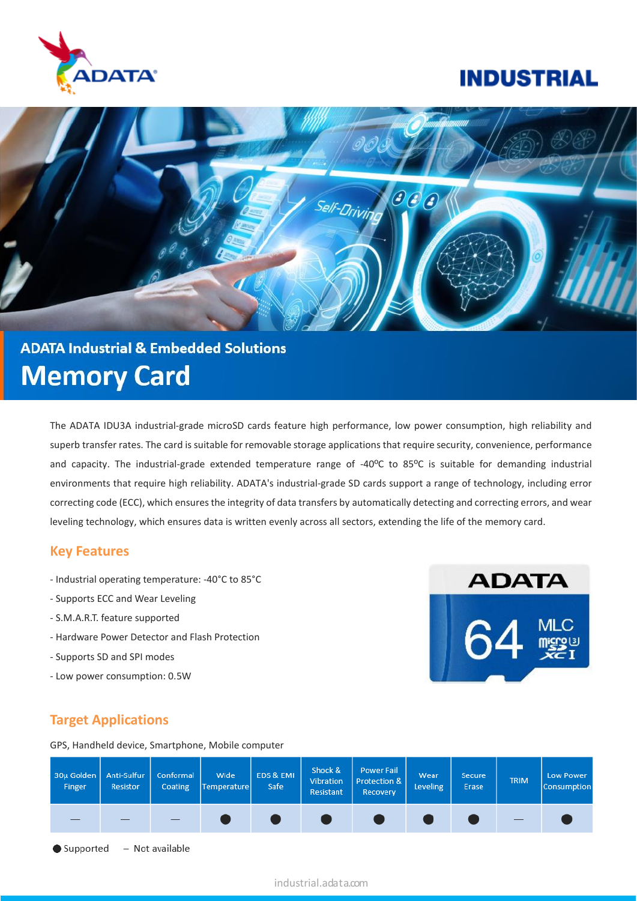

## **INDUSTRIAL**



# **ADATA Industrial & Embedded Solutions Memory Card**

The ADATA IDU3A industrial-grade microSD cards feature high performance, low power consumption, high reliability and superb transfer rates. The card is suitable for removable storage applications that require security, convenience, performance and capacity. The industrial-grade extended temperature range of -40ºC to 85ºC is suitable for demanding industrial environments that require high reliability. ADATA's industrial-grade SD cards support a range of technology, including error correcting code (ECC), which ensures the integrity of data transfers by automatically detecting and correcting errors, and wear leveling technology, which ensures data is written evenly across all sectors, extending the life of the memory card.

#### **Key Features**

- Industrial operating temperature: -40°C to 85°C
- Supports ECC and Wear Leveling
- S.M.A.R.T. feature supported
- Hardware Power Detector and Flash Protection
- Supports SD and SPI modes
- Low power consumption: 0.5W



#### **Target Applications**

GPS, Handheld device, Smartphone, Mobile computer